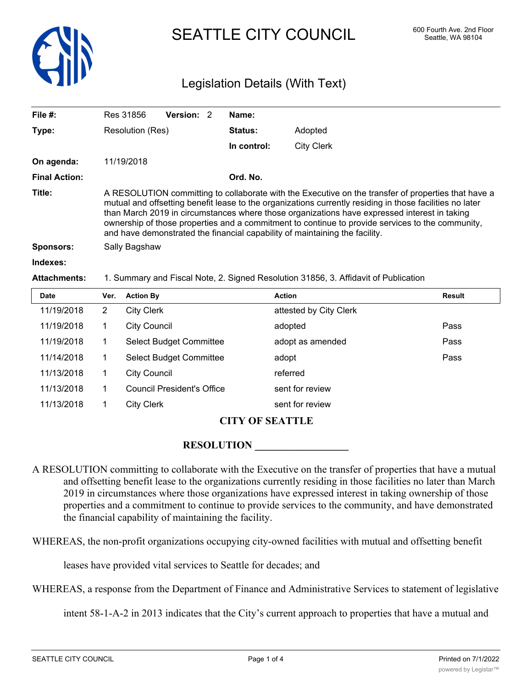

# SEATTLE CITY COUNCIL 600 Fourth Ave. 2nd Floor

# Legislation Details (With Text)

| File $#$ :           |                | Res 31856                                                                                                                                                                                                                                                                                                                                                                                                                                                                                          | Version: 2                        |  | Name:       |                                                                                     |               |  |
|----------------------|----------------|----------------------------------------------------------------------------------------------------------------------------------------------------------------------------------------------------------------------------------------------------------------------------------------------------------------------------------------------------------------------------------------------------------------------------------------------------------------------------------------------------|-----------------------------------|--|-------------|-------------------------------------------------------------------------------------|---------------|--|
| Type:                |                | Resolution (Res)                                                                                                                                                                                                                                                                                                                                                                                                                                                                                   |                                   |  | Status:     | Adopted                                                                             |               |  |
|                      |                |                                                                                                                                                                                                                                                                                                                                                                                                                                                                                                    |                                   |  | In control: | <b>City Clerk</b>                                                                   |               |  |
| On agenda:           |                | 11/19/2018                                                                                                                                                                                                                                                                                                                                                                                                                                                                                         |                                   |  |             |                                                                                     |               |  |
| <b>Final Action:</b> |                | Ord. No.                                                                                                                                                                                                                                                                                                                                                                                                                                                                                           |                                   |  |             |                                                                                     |               |  |
| Title:               |                | A RESOLUTION committing to collaborate with the Executive on the transfer of properties that have a<br>mutual and offsetting benefit lease to the organizations currently residing in those facilities no later<br>than March 2019 in circumstances where those organizations have expressed interest in taking<br>ownership of those properties and a commitment to continue to provide services to the community,<br>and have demonstrated the financial capability of maintaining the facility. |                                   |  |             |                                                                                     |               |  |
| <b>Sponsors:</b>     |                | Sally Bagshaw                                                                                                                                                                                                                                                                                                                                                                                                                                                                                      |                                   |  |             |                                                                                     |               |  |
| Indexes:             |                |                                                                                                                                                                                                                                                                                                                                                                                                                                                                                                    |                                   |  |             |                                                                                     |               |  |
| <b>Attachments:</b>  |                |                                                                                                                                                                                                                                                                                                                                                                                                                                                                                                    |                                   |  |             | 1. Summary and Fiscal Note, 2. Signed Resolution 31856, 3. Affidavit of Publication |               |  |
| <b>Date</b>          | Ver.           | <b>Action By</b>                                                                                                                                                                                                                                                                                                                                                                                                                                                                                   |                                   |  |             | <b>Action</b>                                                                       | <b>Result</b> |  |
| 11/19/2018           | $\overline{2}$ | <b>City Clerk</b>                                                                                                                                                                                                                                                                                                                                                                                                                                                                                  |                                   |  |             | attested by City Clerk                                                              |               |  |
| 11/19/2018           | 1              | <b>City Council</b>                                                                                                                                                                                                                                                                                                                                                                                                                                                                                |                                   |  |             | adopted                                                                             | Pass          |  |
| 11/19/2018           | $\mathbf{1}$   |                                                                                                                                                                                                                                                                                                                                                                                                                                                                                                    | <b>Select Budget Committee</b>    |  |             | adopt as amended                                                                    | Pass          |  |
| 11/14/2018           | 1              |                                                                                                                                                                                                                                                                                                                                                                                                                                                                                                    | Select Budget Committee           |  |             | adopt                                                                               | Pass          |  |
| 11/13/2018           | 1              | <b>City Council</b>                                                                                                                                                                                                                                                                                                                                                                                                                                                                                |                                   |  |             | referred                                                                            |               |  |
| 11/13/2018           | $\mathbf 1$    |                                                                                                                                                                                                                                                                                                                                                                                                                                                                                                    | <b>Council President's Office</b> |  |             | sent for review                                                                     |               |  |
| 11/13/2018           | 1              | <b>City Clerk</b>                                                                                                                                                                                                                                                                                                                                                                                                                                                                                  |                                   |  |             | sent for review                                                                     |               |  |

## **CITY OF SEATTLE**

#### **RESOLUTION**

A RESOLUTION committing to collaborate with the Executive on the transfer of properties that have a mutual and offsetting benefit lease to the organizations currently residing in those facilities no later than March 2019 in circumstances where those organizations have expressed interest in taking ownership of those properties and a commitment to continue to provide services to the community, and have demonstrated the financial capability of maintaining the facility.

WHEREAS, the non-profit organizations occupying city-owned facilities with mutual and offsetting benefit

leases have provided vital services to Seattle for decades; and

WHEREAS, a response from the Department of Finance and Administrative Services to statement of legislative

intent 58-1-A-2 in 2013 indicates that the City's current approach to properties that have a mutual and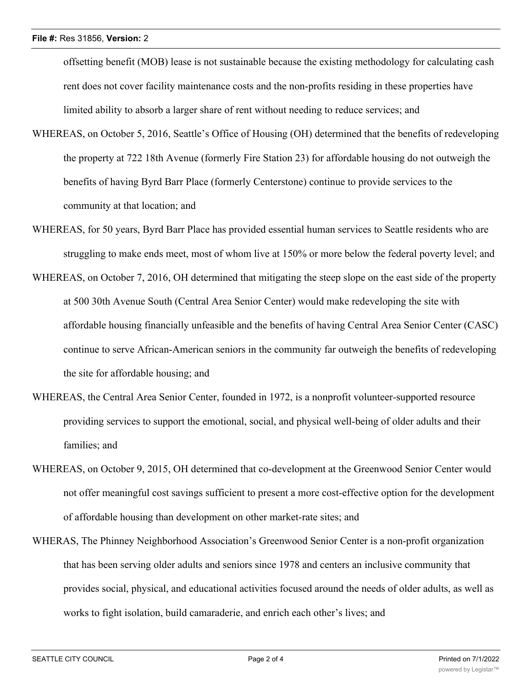offsetting benefit (MOB) lease is not sustainable because the existing methodology for calculating cash rent does not cover facility maintenance costs and the non-profits residing in these properties have limited ability to absorb a larger share of rent without needing to reduce services; and

- WHEREAS, on October 5, 2016, Seattle's Office of Housing (OH) determined that the benefits of redeveloping the property at 722 18th Avenue (formerly Fire Station 23) for affordable housing do not outweigh the benefits of having Byrd Barr Place (formerly Centerstone) continue to provide services to the community at that location; and
- WHEREAS, for 50 years, Byrd Barr Place has provided essential human services to Seattle residents who are struggling to make ends meet, most of whom live at 150% or more below the federal poverty level; and
- WHEREAS, on October 7, 2016, OH determined that mitigating the steep slope on the east side of the property at 500 30th Avenue South (Central Area Senior Center) would make redeveloping the site with affordable housing financially unfeasible and the benefits of having Central Area Senior Center (CASC) continue to serve African-American seniors in the community far outweigh the benefits of redeveloping the site for affordable housing; and
- WHEREAS, the Central Area Senior Center, founded in 1972, is a nonprofit volunteer-supported resource providing services to support the emotional, social, and physical well-being of older adults and their families; and
- WHEREAS, on October 9, 2015, OH determined that co-development at the Greenwood Senior Center would not offer meaningful cost savings sufficient to present a more cost-effective option for the development of affordable housing than development on other market-rate sites; and
- WHERAS, The Phinney Neighborhood Association's Greenwood Senior Center is a non-profit organization that has been serving older adults and seniors since 1978 and centers an inclusive community that provides social, physical, and educational activities focused around the needs of older adults, as well as works to fight isolation, build camaraderie, and enrich each other's lives; and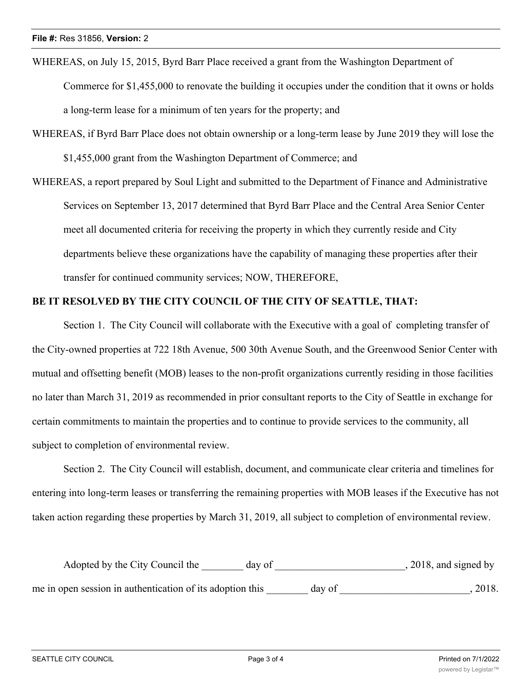WHEREAS, on July 15, 2015, Byrd Barr Place received a grant from the Washington Department of Commerce for \$1,455,000 to renovate the building it occupies under the condition that it owns or holds a long-term lease for a minimum of ten years for the property; and

WHEREAS, if Byrd Barr Place does not obtain ownership or a long-term lease by June 2019 they will lose the \$1,455,000 grant from the Washington Department of Commerce; and

WHEREAS, a report prepared by Soul Light and submitted to the Department of Finance and Administrative Services on September 13, 2017 determined that Byrd Barr Place and the Central Area Senior Center meet all documented criteria for receiving the property in which they currently reside and City departments believe these organizations have the capability of managing these properties after their transfer for continued community services; NOW, THEREFORE,

### **BE IT RESOLVED BY THE CITY COUNCIL OF THE CITY OF SEATTLE, THAT:**

Section 1. The City Council will collaborate with the Executive with a goal of completing transfer of the City-owned properties at 722 18th Avenue, 500 30th Avenue South, and the Greenwood Senior Center with mutual and offsetting benefit (MOB) leases to the non-profit organizations currently residing in those facilities no later than March 31, 2019 as recommended in prior consultant reports to the City of Seattle in exchange for certain commitments to maintain the properties and to continue to provide services to the community, all subject to completion of environmental review.

Section 2. The City Council will establish, document, and communicate clear criteria and timelines for entering into long-term leases or transferring the remaining properties with MOB leases if the Executive has not taken action regarding these properties by March 31, 2019, all subject to completion of environmental review.

| Adopted by the City Council the                           | day of |        | $, 2018,$ and signed by |
|-----------------------------------------------------------|--------|--------|-------------------------|
| me in open session in authentication of its adoption this |        | day of | 2018.                   |